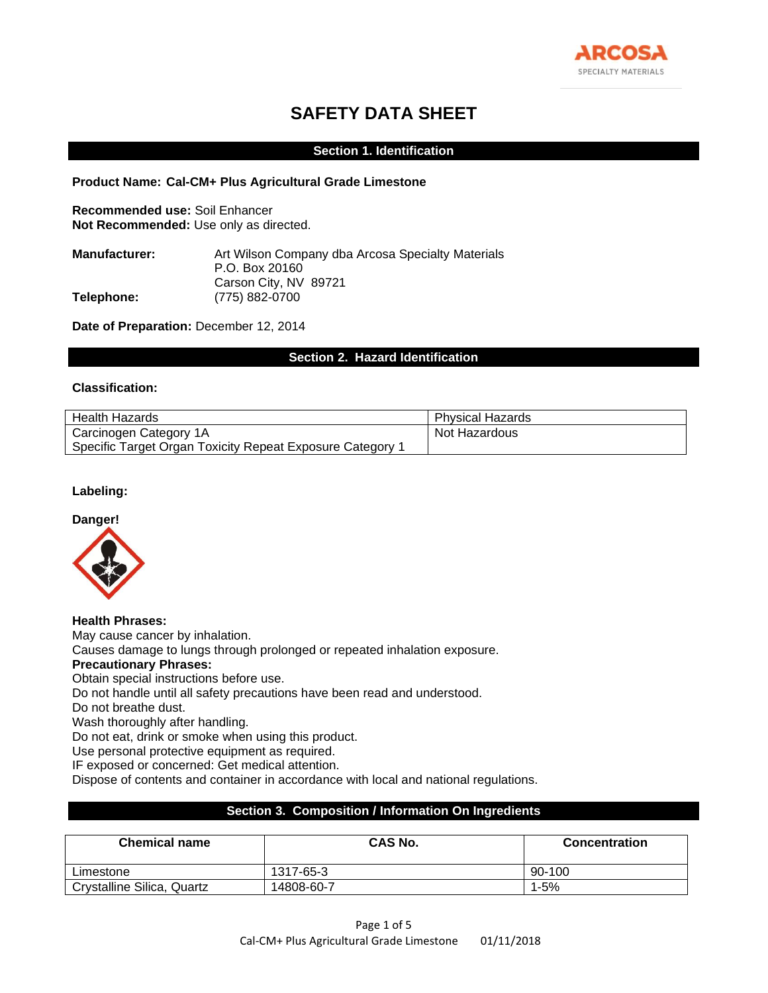

# **SAFETY DATA SHEET**

## **Section 1. Identification**

#### **Product Name: Cal-CM+ Plus Agricultural Grade Limestone**

**Recommended use:** Soil Enhancer **Not Recommended:** Use only as directed.

| Art Wilson Company dba Arcosa Specialty Materials |
|---------------------------------------------------|
| P.O. Box 20160                                    |
| Carson City, NV 89721                             |
| (775) 882-0700                                    |
|                                                   |

**Date of Preparation:** December 12, 2014

# **Section 2. Hazard Identification**

#### **Classification:**

| Health Hazards                                            | <b>Physical Hazards</b> |
|-----------------------------------------------------------|-------------------------|
| Carcinogen Category 1A                                    | Not Hazardous           |
| Specific Target Organ Toxicity Repeat Exposure Category ' |                         |

# **Labeling:**

#### **Danger!**



**Health Phrases:** May cause cancer by inhalation. Causes damage to lungs through prolonged or repeated inhalation exposure. **Precautionary Phrases:** Obtain special instructions before use. Do not handle until all safety precautions have been read and understood. Do not breathe dust. Wash thoroughly after handling. Do not eat, drink or smoke when using this product. Use personal protective equipment as required. IF exposed or concerned: Get medical attention. Dispose of contents and container in accordance with local and national regulations.

# **Section 3. Composition / Information On Ingredients**

| <b>Chemical name</b>       | CAS No.    | <b>Concentration</b> |
|----------------------------|------------|----------------------|
| Limestone                  | 1317-65-3  | $90-100$             |
| Crystalline Silica, Quartz | 14808-60-7 | 1-5%                 |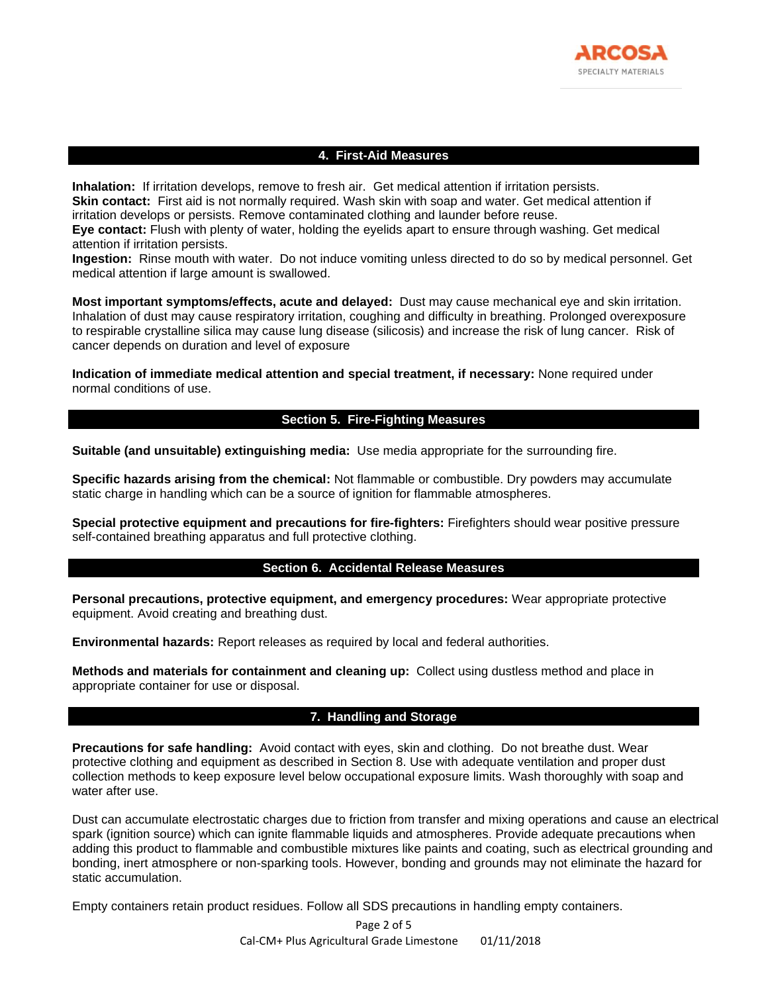

# **4. First-Aid Measures**

**Inhalation:** If irritation develops, remove to fresh air. Get medical attention if irritation persists. **Skin contact:** First aid is not normally required. Wash skin with soap and water. Get medical attention if irritation develops or persists. Remove contaminated clothing and launder before reuse.

**Eye contact:** Flush with plenty of water, holding the eyelids apart to ensure through washing. Get medical attention if irritation persists.

**Ingestion:** Rinse mouth with water. Do not induce vomiting unless directed to do so by medical personnel. Get medical attention if large amount is swallowed.

**Most important symptoms/effects, acute and delayed:** Dust may cause mechanical eye and skin irritation. Inhalation of dust may cause respiratory irritation, coughing and difficulty in breathing. Prolonged overexposure to respirable crystalline silica may cause lung disease (silicosis) and increase the risk of lung cancer. Risk of cancer depends on duration and level of exposure

**Indication of immediate medical attention and special treatment, if necessary:** None required under normal conditions of use.

# **Section 5. Fire-Fighting Measures**

**Suitable (and unsuitable) extinguishing media:** Use media appropriate for the surrounding fire.

**Specific hazards arising from the chemical:** Not flammable or combustible. Dry powders may accumulate static charge in handling which can be a source of ignition for flammable atmospheres.

**Special protective equipment and precautions for fire-fighters:** Firefighters should wear positive pressure self-contained breathing apparatus and full protective clothing.

#### **Section 6. Accidental Release Measures**

**Personal precautions, protective equipment, and emergency procedures:** Wear appropriate protective equipment. Avoid creating and breathing dust.

**Environmental hazards:** Report releases as required by local and federal authorities.

**Methods and materials for containment and cleaning up:** Collect using dustless method and place in appropriate container for use or disposal.

# **7. Handling and Storage**

**Precautions for safe handling:** Avoid contact with eyes, skin and clothing. Do not breathe dust. Wear protective clothing and equipment as described in Section 8. Use with adequate ventilation and proper dust collection methods to keep exposure level below occupational exposure limits. Wash thoroughly with soap and water after use.

Dust can accumulate electrostatic charges due to friction from transfer and mixing operations and cause an electrical spark (ignition source) which can ignite flammable liquids and atmospheres. Provide adequate precautions when adding this product to flammable and combustible mixtures like paints and coating, such as electrical grounding and bonding, inert atmosphere or non-sparking tools. However, bonding and grounds may not eliminate the hazard for static accumulation.

Empty containers retain product residues. Follow all SDS precautions in handling empty containers.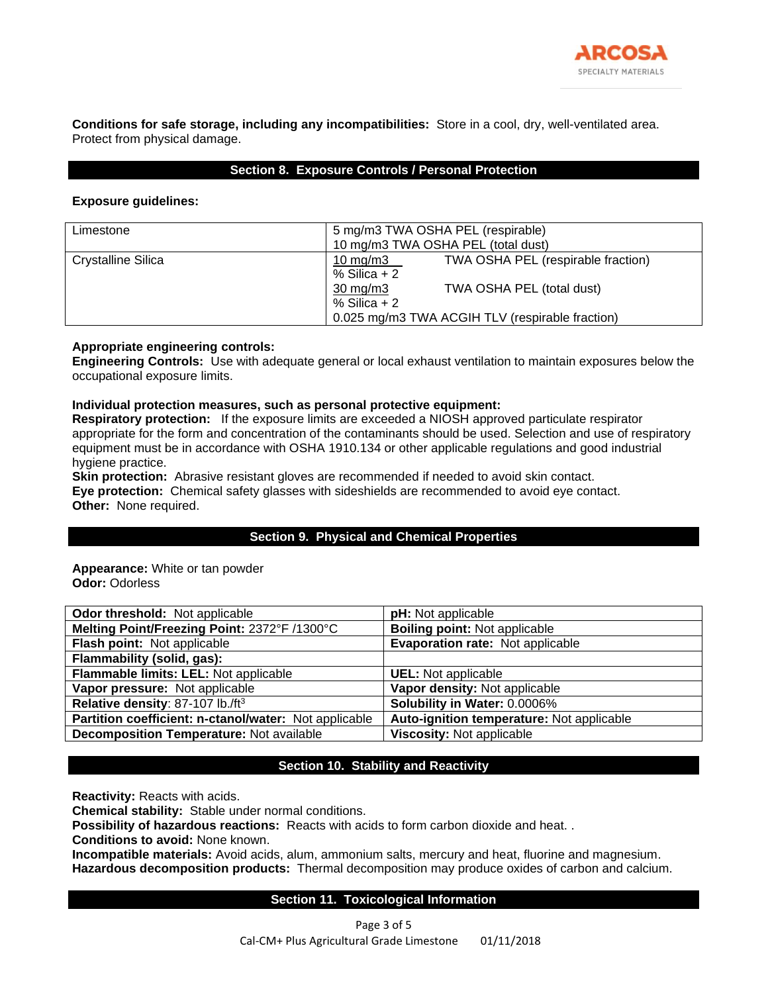

**Conditions for safe storage, including any incompatibilities:** Store in a cool, dry, well-ventilated area. Protect from physical damage.

# **Section 8. Exposure Controls / Personal Protection**

## **Exposure guidelines:**

| Limestone          | 5 mg/m3 TWA OSHA PEL (respirable)<br>10 mg/m3 TWA OSHA PEL (total dust) |                                    |  |
|--------------------|-------------------------------------------------------------------------|------------------------------------|--|
| Crystalline Silica | 10 mg/m $3$<br>$%$ Silica + 2                                           | TWA OSHA PEL (respirable fraction) |  |
|                    | $30 \text{ mg/m}$<br>% Silica $+2$                                      | TWA OSHA PEL (total dust)          |  |
|                    | 0.025 mg/m3 TWA ACGIH TLV (respirable fraction)                         |                                    |  |

# **Appropriate engineering controls:**

**Engineering Controls:** Use with adequate general or local exhaust ventilation to maintain exposures below the occupational exposure limits.

#### **Individual protection measures, such as personal protective equipment:**

**Respiratory protection:** If the exposure limits are exceeded a NIOSH approved particulate respirator appropriate for the form and concentration of the contaminants should be used. Selection and use of respiratory equipment must be in accordance with OSHA 1910.134 or other applicable regulations and good industrial hygiene practice.

**Skin protection:** Abrasive resistant gloves are recommended if needed to avoid skin contact. **Eye protection:** Chemical safety glasses with sideshields are recommended to avoid eye contact. **Other:** None required.

# **Section 9. Physical and Chemical Properties**

**Appearance:** White or tan powder **Odor:** Odorless

| Odor threshold: Not applicable                        | <b>pH:</b> Not applicable                 |
|-------------------------------------------------------|-------------------------------------------|
| Melting Point/Freezing Point: 2372°F /1300°C          | <b>Boiling point: Not applicable</b>      |
| Flash point: Not applicable                           | Evaporation rate: Not applicable          |
| Flammability (solid, gas):                            |                                           |
| Flammable limits: LEL: Not applicable                 | <b>UEL:</b> Not applicable                |
| Vapor pressure: Not applicable                        | Vapor density: Not applicable             |
| Relative density: 87-107 lb./ft <sup>3</sup>          | Solubility in Water: 0.0006%              |
| Partition coefficient: n-ctanol/water: Not applicable | Auto-ignition temperature: Not applicable |
| <b>Decomposition Temperature: Not available</b>       | Viscosity: Not applicable                 |

# **Section 10. Stability and Reactivity**

**Reactivity:** Reacts with acids.

**Chemical stability:** Stable under normal conditions.

**Possibility of hazardous reactions:** Reacts with acids to form carbon dioxide and heat. .

**Conditions to avoid:** None known.

**Incompatible materials:** Avoid acids, alum, ammonium salts, mercury and heat, fluorine and magnesium. **Hazardous decomposition products:** Thermal decomposition may produce oxides of carbon and calcium.

# **Section 11. Toxicological Information**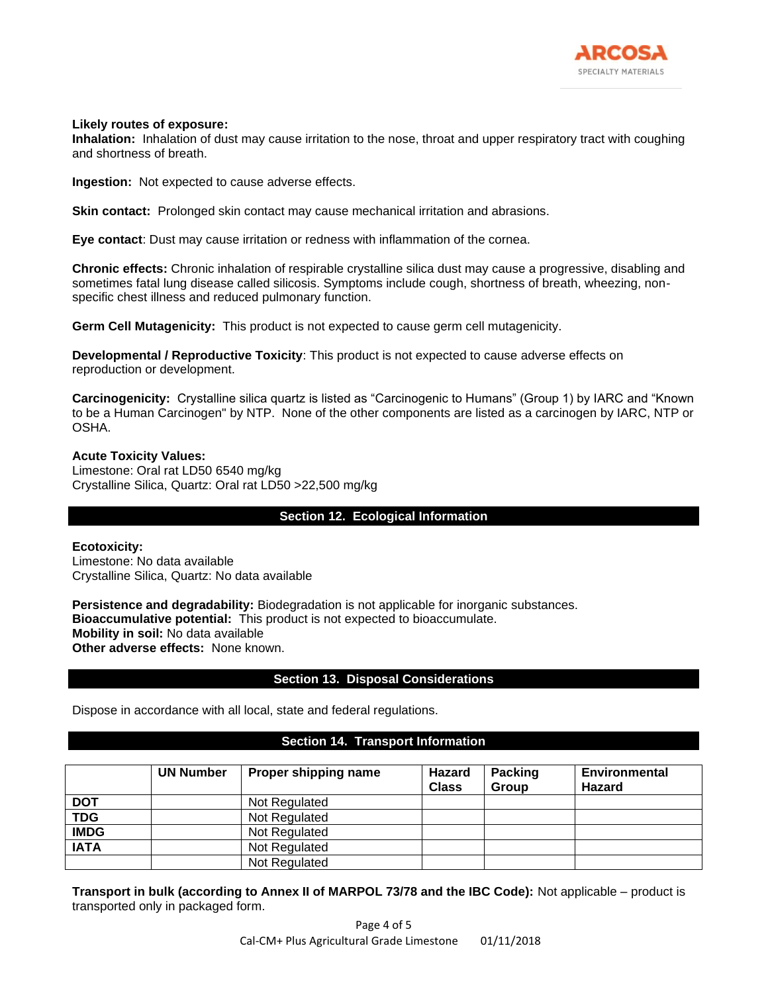

## **Likely routes of exposure:**

**Inhalation:** Inhalation of dust may cause irritation to the nose, throat and upper respiratory tract with coughing and shortness of breath.

**Ingestion:** Not expected to cause adverse effects.

**Skin contact:** Prolonged skin contact may cause mechanical irritation and abrasions.

**Eye contact**: Dust may cause irritation or redness with inflammation of the cornea.

**Chronic effects:** Chronic inhalation of respirable crystalline silica dust may cause a progressive, disabling and sometimes fatal lung disease called silicosis. Symptoms include cough, shortness of breath, wheezing, nonspecific chest illness and reduced pulmonary function.

**Germ Cell Mutagenicity:** This product is not expected to cause germ cell mutagenicity.

**Developmental / Reproductive Toxicity**: This product is not expected to cause adverse effects on reproduction or development.

**Carcinogenicity:** Crystalline silica quartz is listed as "Carcinogenic to Humans" (Group 1) by IARC and "Known to be a Human Carcinogen" by NTP. None of the other components are listed as a carcinogen by IARC, NTP or OSHA.

**Acute Toxicity Values:** Limestone: Oral rat LD50 6540 mg/kg Crystalline Silica, Quartz: Oral rat LD50 >22,500 mg/kg

# **Section 12. Ecological Information**

**Ecotoxicity:** Limestone: No data available Crystalline Silica, Quartz: No data available

**Persistence and degradability:** Biodegradation is not applicable for inorganic substances. **Bioaccumulative potential:** This product is not expected to bioaccumulate. **Mobility in soil:** No data available **Other adverse effects:** None known.

# **Section 13. Disposal Considerations**

Dispose in accordance with all local, state and federal regulations.

# **Section 14. Transport Information**

|             | <b>UN Number</b> | Proper shipping name | <b>Hazard</b><br><b>Class</b> | <b>Packing</b><br><b>Group</b> | <b>Environmental</b><br>Hazard |
|-------------|------------------|----------------------|-------------------------------|--------------------------------|--------------------------------|
| <b>DOT</b>  |                  | Not Regulated        |                               |                                |                                |
| <b>TDG</b>  |                  | Not Regulated        |                               |                                |                                |
| <b>IMDG</b> |                  | Not Regulated        |                               |                                |                                |
| <b>IATA</b> |                  | Not Regulated        |                               |                                |                                |
|             |                  | Not Regulated        |                               |                                |                                |

**Transport in bulk (according to Annex II of MARPOL 73/78 and the IBC Code):** Not applicable – product is transported only in packaged form.